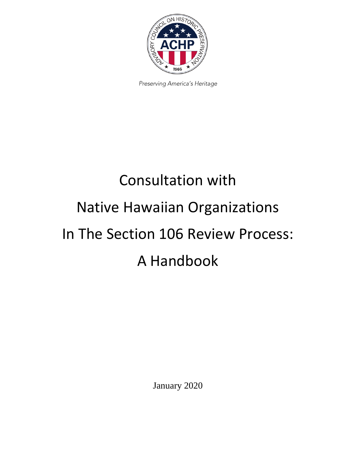

Preserving America's Heritage

# Consultation with Native Hawaiian Organizations In The Section 106 Review Process: A Handbook

January 2020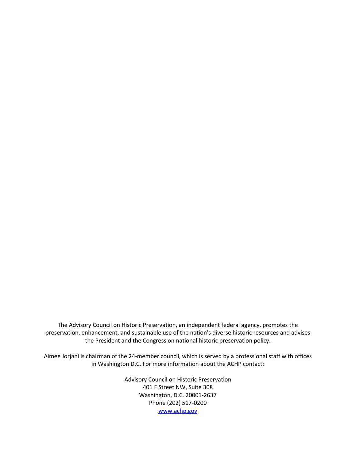The Advisory Council on Historic Preservation, an independent federal agency, promotes the preservation, enhancement, and sustainable use of the nation's diverse historic resources and advises the President and the Congress on national historic preservation policy.

Aimee Jorjani is chairman of the 24-member council, which is served by a professional staff with offices in Washington D.C. For more information about the ACHP contact:

> Advisory Council on Historic Preservation 401 F Street NW, Suite 308 Washington, D.C. 20001-2637 Phone (202) 517-0200 [www.achp.gov](http://www.achp.gov/)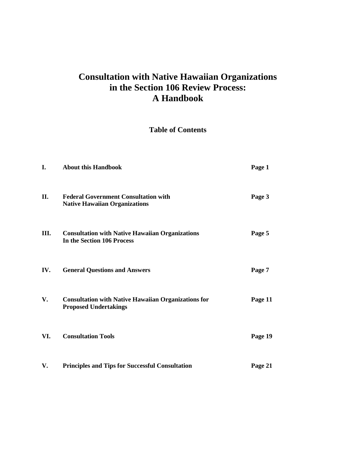# **Consultation with Native Hawaiian Organizations in the Section 106 Review Process: A Handbook**

# **Table of Contents**

| I.   | <b>About this Handbook</b>                                                                 | Page 1  |
|------|--------------------------------------------------------------------------------------------|---------|
| II.  | <b>Federal Government Consultation with</b><br><b>Native Hawaiian Organizations</b>        | Page 3  |
| III. | <b>Consultation with Native Hawaiian Organizations</b><br>In the Section 106 Process       | Page 5  |
| IV.  | <b>General Questions and Answers</b>                                                       | Page 7  |
| V.   | <b>Consultation with Native Hawaiian Organizations for</b><br><b>Proposed Undertakings</b> | Page 11 |
| VI.  | <b>Consultation Tools</b>                                                                  | Page 19 |
| V.   | <b>Principles and Tips for Successful Consultation</b>                                     | Page 21 |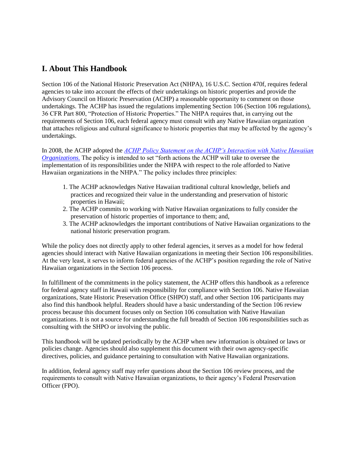# **I. About This Handbook**

Section 106 of the National Historic Preservation Act (NHPA), 16 U.S.C. Section 470f, requires federal agencies to take into account the effects of their undertakings on historic properties and provide the Advisory Council on Historic Preservation (ACHP) a reasonable opportunity to comment on those undertakings. The ACHP has issued the regulations implementing Section 106 (Section 106 regulations), 36 CFR Part 800, "Protection of Historic Properties." The NHPA requires that, in carrying out the requirements of Section 106, each federal agency must consult with any Native Hawaiian organization that attaches religious and cultural significance to historic properties that may be affected by the agency's undertakings.

In 2008, the ACHP adopted the *[ACHP Policy Statement on the ACHP's Interaction with Native Hawaiian](https://www.achp.gov/sites/default/files/policies/2018-06/ACHPPolicyStatementontheACHPsInteractionwithNHOs.pdf)  [Organizations.](https://www.achp.gov/sites/default/files/policies/2018-06/ACHPPolicyStatementontheACHPsInteractionwithNHOs.pdf)* The policy is intended to set "forth actions the ACHP will take to oversee the implementation of its responsibilities under the NHPA with respect to the role afforded to Native Hawaiian organizations in the NHPA." The policy includes three principles:

- 1. The ACHP acknowledges Native Hawaiian traditional cultural knowledge, beliefs and practices and recognized their value in the understanding and preservation of historic properties in Hawaii;
- 2. The ACHP commits to working with Native Hawaiian organizations to fully consider the preservation of historic properties of importance to them; and,
- 3. The ACHP acknowledges the important contributions of Native Hawaiian organizations to the national historic preservation program.

While the policy does not directly apply to other federal agencies, it serves as a model for how federal agencies should interact with Native Hawaiian organizations in meeting their Section 106 responsibilities. At the very least, it serves to inform federal agencies of the ACHP's position regarding the role of Native Hawaiian organizations in the Section 106 process.

In fulfillment of the commitments in the policy statement, the ACHP offers this handbook as a reference for federal agency staff in Hawaii with responsibility for compliance with Section 106. Native Hawaiian organizations, State Historic Preservation Office (SHPO) staff, and other Section 106 participants may also find this handbook helpful. Readers should have a basic understanding of the Section 106 review process because this document focuses only on Section 106 consultation with Native Hawaiian organizations. It is not a source for understanding the full breadth of Section 106 responsibilities such as consulting with the SHPO or involving the public.

This handbook will be updated periodically by the ACHP when new information is obtained or laws or policies change. Agencies should also supplement this document with their own agency-specific directives, policies, and guidance pertaining to consultation with Native Hawaiian organizations.

In addition, federal agency staff may refer questions about the Section 106 review process, and the requirements to consult with Native Hawaiian organizations, to their agency's Federal Preservation Officer (FPO).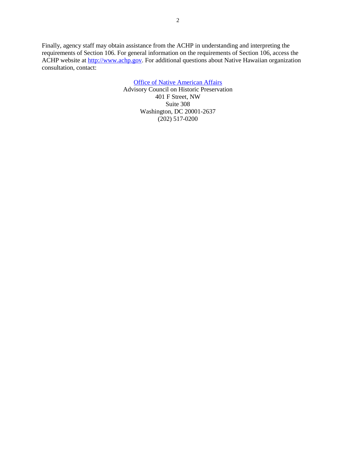Finally, agency staff may obtain assistance from the ACHP in understanding and interpreting the requirements of Section 106. For general information on the requirements of Section 106, access the ACHP website at [http://www.achp.gov.](http://www.achp.gov/) For additional questions about Native Hawaiian organization consultation, contact:

> [Office of Native American Affairs](https://www.achp.gov/indian-tribes-and-native-hawaiians) Advisory Council on Historic Preservation 401 F Street, NW Suite 308 Washington, DC 20001-2637 (202) 517-0200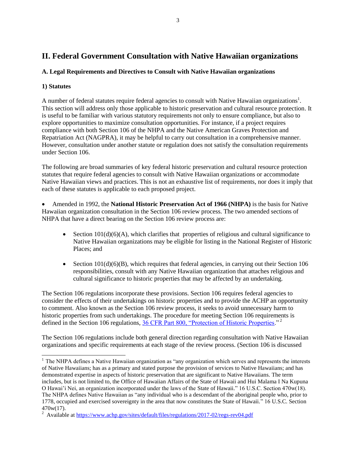# **II. Federal Government Consultation with Native Hawaiian organizations**

# **A. Legal Requirements and Directives to Consult with Native Hawaiian organizations**

# **1) Statutes**

l

A number of federal statutes require federal agencies to consult with Native Hawaiian organizations<sup>1</sup>. This section will address only those applicable to historic preservation and cultural resource protection. It is useful to be familiar with various statutory requirements not only to ensure compliance, but also to explore opportunities to maximize consultation opportunities. For instance, if a project requires compliance with both Section 106 of the NHPA and the Native American Graves Protection and Repatriation Act (NAGPRA), it may be helpful to carry out consultation in a comprehensive manner. However, consultation under another statute or regulation does not satisfy the consultation requirements under Section 106.

The following are broad summaries of key federal historic preservation and cultural resource protection statutes that require federal agencies to consult with Native Hawaiian organizations or accommodate Native Hawaiian views and practices. This is not an exhaustive list of requirements, nor does it imply that each of these statutes is applicable to each proposed project.

 Amended in 1992, the **National Historic Preservation Act of 1966 (NHPA)** is the basis for Native Hawaiian organization consultation in the Section 106 review process. The two amended sections of NHPA that have a direct bearing on the Section 106 review process are:

- Section  $101(d)(6)(A)$ , which clarifies that properties of religious and cultural significance to Native Hawaiian organizations may be eligible for listing in the National Register of Historic Places; and
- Section  $101(d)(6)(B)$ , which requires that federal agencies, in carrying out their Section 106 responsibilities, consult with any Native Hawaiian organization that attaches religious and cultural significance to historic properties that may be affected by an undertaking.

The Section 106 regulations incorporate these provisions. Section 106 requires federal agencies to consider the effects of their undertakings on historic properties and to provide the ACHP an opportunity to comment. Also known as the Section 106 review process, it seeks to avoid unnecessary harm to historic properties from such undertakings. The procedure for meeting Section 106 requirements is defined in the Section 106 regulations[, 36 CFR Part 800, "Protection of Historic Properties.](https://www.achp.gov/sites/default/files/regulations/2017-02/regs-rev04.pdf)"<sup>2</sup>

The Section 106 regulations include both general direction regarding consultation with Native Hawaiian organizations and specific requirements at each stage of the review process. (Section 106 is discussed

 $<sup>1</sup>$  The NHPA defines a Native Hawaiian organization as "any organization which serves and represents the interests</sup> of Native Hawaiians; has as a primary and stated purpose the provision of services to Native Hawaiians; and has demonstrated expertise in aspects of historic preservation that are significant to Native Hawaiians. The term includes, but is not limited to, the Office of Hawaiian Affairs of the State of Hawaii and Hui Malama I Na Kupuna O Hawai'i Nei, an organization incorporated under the laws of the State of Hawaii." 16 U.S.C. Section 470w(18). The NHPA defines Native Hawaiian as "any individual who is a descendant of the aboriginal people who, prior to 1778, occupied and exercised sovereignty in the area that now constitutes the State of Hawaii." 16 U.S.C. Section 470w(17).

<sup>&</sup>lt;sup>2</sup> Available at<https://www.achp.gov/sites/default/files/regulations/2017-02/regs-rev04.pdf>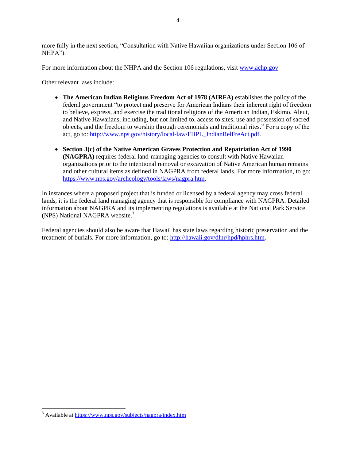more fully in the next section, "Consultation with Native Hawaiian organizations under Section 106 of NHPA").

For more information about the NHPA and the Section 106 regulations, visit [www.achp.gov](http://www.achp.gov/)

Other relevant laws include:

- **The American Indian Religious Freedom Act of 1978 (AIRFA)** establishes the policy of the federal government "to protect and preserve for American Indians their inherent right of freedom to believe, express, and exercise the traditional religions of the American Indian, Eskimo, Aleut, and Native Hawaiians, including, but not limited to, access to sites, use and possession of sacred objects, and the freedom to worship through ceremonials and traditional rites." For a copy of the act, go to: [http://www.nps.gov/history/local-law/FHPL\\_IndianRelFreAct.pdf.](http://www.nps.gov/history/local-law/FHPL_IndianRelFreAct.pdf)
- **Section 3(c) of the Native American Graves Protection and Repatriation Act of 1990 (NAGPRA)** requires federal land-managing agencies to consult with Native Hawaiian organizations prior to the intentional removal or excavation of Native American human remains and other cultural items as defined in NAGPRA from federal lands. For more information, to go: [https://www.nps.gov/archeology/tools/laws/nagpra.htm.](https://www.nps.gov/archeology/tools/laws/nagpra.htm)

In instances where a proposed project that is funded or licensed by a federal agency may cross federal lands, it is the federal land managing agency that is responsible for compliance with NAGPRA. Detailed information about NAGPRA and its implementing regulations is available at the National Park Service (NPS) National NAGPRA website.<sup>3</sup>

Federal agencies should also be aware that Hawaii has state laws regarding historic preservation and the treatment of burials. For more information, go to: [http://hawaii.gov/dlnr/hpd/hphrs.htm.](http://hawaii.gov/dlnr/hpd/hphrs.htm)

l

<sup>&</sup>lt;sup>3</sup> Available at<https://www.nps.gov/subjects/nagpra/index.htm>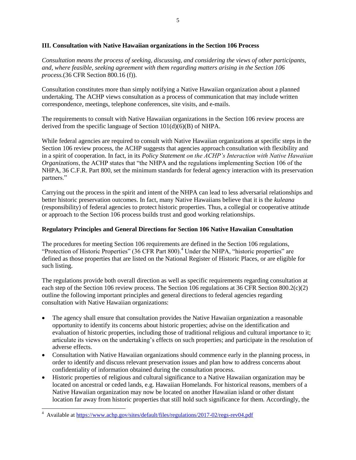# **III. Consultation with Native Hawaiian organizations in the Section 106 Process**

*Consultation means the process of seeking, discussing, and considering the views of other participants, and, where feasible, seeking agreement with them regarding matters arising in the Section 106 process.*(36 CFR Section 800.16 (f)).

Consultation constitutes more than simply notifying a Native Hawaiian organization about a planned undertaking. The ACHP views consultation as a process of communication that may include written correspondence, meetings, telephone conferences, site visits, and e-mails.

The requirements to consult with Native Hawaiian organizations in the Section 106 review process are derived from the specific language of Section 101(d)(6)(B) of NHPA.

While federal agencies are required to consult with Native Hawaiian organizations at specific steps in the Section 106 review process, the ACHP suggests that agencies approach consultation with flexibility and in a spirit of cooperation. In fact, in its *Policy Statement on the ACHP's Interaction with Native Hawaiian Organizations*, the ACHP states that "the NHPA and the regulations implementing Section 106 of the NHPA, 36 C.F.R. Part 800, set the minimum standards for federal agency interaction with its preservation partners."

Carrying out the process in the spirit and intent of the NHPA can lead to less adversarial relationships and better historic preservation outcomes. In fact, many Native Hawaiians believe that it is the *kuleana* (responsibility) of federal agencies to protect historic properties. Thus, a collegial or cooperative attitude or approach to the Section 106 process builds trust and good working relationships.

# **Regulatory Principles and General Directions for Section 106 Native Hawaiian Consultation**

The procedures for meeting Section 106 requirements are defined in the Section 106 regulations, "Protection of Historic Properties" (36 CFR Part 800).<sup>4</sup> Under the NHPA, "historic properties" are defined as those properties that are listed on the National Register of Historic Places, or are eligible for such listing.

The regulations provide both overall direction as well as specific requirements regarding consultation at each step of the Section 106 review process. The Section 106 regulations at 36 CFR Section 800.2(c)(2) outline the following important principles and general directions to federal agencies regarding consultation with Native Hawaiian organizations:

- The agency shall ensure that consultation provides the Native Hawaiian organization a reasonable opportunity to identify its concerns about historic properties; advise on the identification and evaluation of historic properties, including those of traditional religious and cultural importance to it; articulate its views on the undertaking's effects on such properties; and participate in the resolution of adverse effects.
- Consultation with Native Hawaiian organizations should commence early in the planning process, in order to identify and discuss relevant preservation issues and plan how to address concerns about confidentiality of information obtained during the consultation process.
- Historic properties of religious and cultural significance to a Native Hawaiian organization may be located on ancestral or ceded lands, e.g. Hawaiian Homelands. For historical reasons, members of a Native Hawaiian organization may now be located on another Hawaiian island or other distant location far away from historic properties that still hold such significance for them. Accordingly, the

l

<sup>4</sup> Available at<https://www.achp.gov/sites/default/files/regulations/2017-02/regs-rev04.pdf>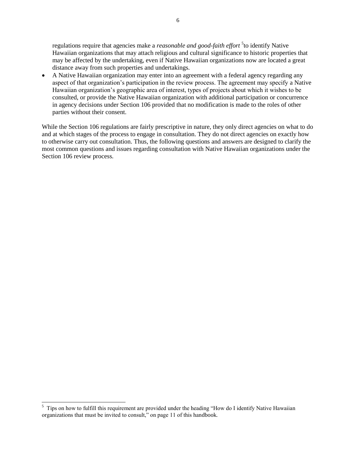regulations require that agencies make a *reasonable and good-faith effort* <sup>5</sup> to identify Native Hawaiian organizations that may attach religious and cultural significance to historic properties that may be affected by the undertaking, even if Native Hawaiian organizations now are located a great distance away from such properties and undertakings.

 A Native Hawaiian organization may enter into an agreement with a federal agency regarding any aspect of that organization's participation in the review process. The agreement may specify a Native Hawaiian organization's geographic area of interest, types of projects about which it wishes to be consulted, or provide the Native Hawaiian organization with additional participation or concurrence in agency decisions under Section 106 provided that no modification is made to the roles of other parties without their consent.

While the Section 106 regulations are fairly prescriptive in nature, they only direct agencies on what to do and at which stages of the process to engage in consultation. They do not direct agencies on exactly how to otherwise carry out consultation. Thus, the following questions and answers are designed to clarify the most common questions and issues regarding consultation with Native Hawaiian organizations under the Section 106 review process.

 $\overline{a}$ 

 $5$  Tips on how to fulfill this requirement are provided under the heading "How do I identify Native Hawaiian organizations that must be invited to consult," on page 11 of this handbook*.*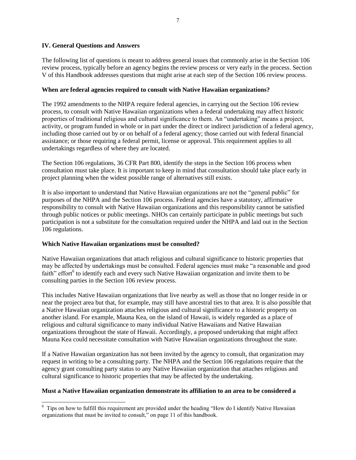# **IV. General Questions and Answers**

The following list of questions is meant to address general issues that commonly arise in the Section 106 review process, typically before an agency begins the review process or very early in the process. Section V of this Handbook addresses questions that might arise at each step of the Section 106 review process.

# **When are federal agencies required to consult with Native Hawaiian organizations?**

The 1992 amendments to the NHPA require federal agencies, in carrying out the Section 106 review process, to consult with Native Hawaiian organizations when a federal undertaking may affect historic properties of traditional religious and cultural significance to them. An "undertaking" means a project, activity, or program funded in whole or in part under the direct or indirect jurisdiction of a federal agency, including those carried out by or on behalf of a federal agency; those carried out with federal financial assistance; or those requiring a federal permit, license or approval. This requirement applies to all undertakings regardless of where they are located.

The Section 106 regulations, 36 CFR Part 800, identify the steps in the Section 106 process when consultation must take place. It is important to keep in mind that consultation should take place early in project planning when the widest possible range of alternatives still exists.

It is also important to understand that Native Hawaiian organizations are not the "general public" for purposes of the NHPA and the Section 106 process. Federal agencies have a statutory, affirmative responsibility to consult with Native Hawaiian organizations and this responsibility cannot be satisfied through public notices or public meetings. NHOs can certainly participate in public meetings but such participation is not a substitute for the consultation required under the NHPA and laid out in the Section 106 regulations.

# **Which Native Hawaiian organizations must be consulted?**

Native Hawaiian organizations that attach religious and cultural significance to historic properties that may be affected by undertakings must be consulted. Federal agencies must make "a reasonable and good faith" effort<sup>6</sup> to identify each and every such Native Hawaiian organization and invite them to be consulting parties in the Section 106 review process.

This includes Native Hawaiian organizations that live nearby as well as those that no longer reside in or near the project area but that, for example, may still have ancestral ties to that area. It is also possible that a Native Hawaiian organization attaches religious and cultural significance to a historic property on another island. For example, Mauna Kea, on the island of Hawaii, is widely regarded as a place of religious and cultural significance to many individual Native Hawaiians and Native Hawaiian organizations throughout the state of Hawaii. Accordingly, a proposed undertaking that might affect Mauna Kea could necessitate consultation with Native Hawaiian organizations throughout the state.

If a Native Hawaiian organization has not been invited by the agency to consult, that organization may request in writing to be a consulting party. The NHPA and the Section 106 regulations require that the agency grant consulting party status to any Native Hawaiian organization that attaches religious and cultural significance to historic properties that may be affected by the undertaking.

# **Must a Native Hawaiian organization demonstrate its affiliation to an area to be considered a**

 $\overline{a}$  $6\,$  Tips on how to fulfill this requirement are provided under the heading "How do I identify Native Hawaiian organizations that must be invited to consult," on page 11 of this handbook.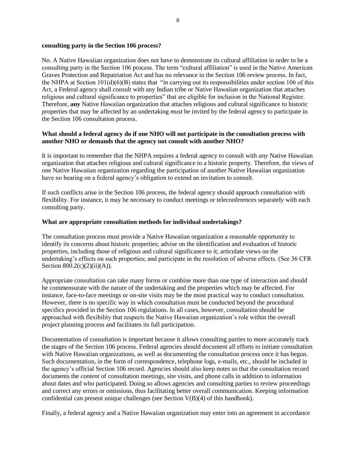#### **consulting party in the Section 106 process?**

No. A Native Hawaiian organization does not have to demonstrate its cultural affiliation in order to be a consulting party in the Section 106 process. The term "cultural affiliation" is used in the Native American Graves Protection and Repatriation Act and has no relevance in the Section 106 review process. In fact, the NHPA at Section 101(d)(6)(B) states that "in carrying out its responsibilities under section 106 of this Act, a Federal agency shall consult with any Indian tribe or Native Hawaiian organization that attaches religious and cultural significance to properties" that are eligible for inclusion in the National Register. Therefore, **any** Native Hawaiian organization that attaches religious and cultural significance to historic properties that may be affected by an undertaking *must* be invited by the federal agency to participate in the Section 106 consultation process.

# **What should a federal agency do if one NHO will not participate in the consultation process with another NHO or demands that the agency not consult with another NHO?**

It is important to remember that the NHPA requires a federal agency to consult with *any* Native Hawaiian organization that attaches religious and cultural significance to a historic property. Therefore, the views of one Native Hawaiian organization regarding the participation of another Native Hawaiian organization have no bearing on a federal agency's obligation to extend an invitation to consult.

If such conflicts arise in the Section 106 process, the federal agency should approach consultation with flexibility. For instance, it may be necessary to conduct meetings or teleconferences separately with each consulting party.

# **What are appropriate consultation methods for individual undertakings?**

The consultation process must provide a Native Hawaiian organization a reasonable opportunity to identify its concerns about historic properties; advise on the identification and evaluation of historic properties, including those of religious and cultural significance to it; articulate views on the undertaking's effects on such properties; and participate in the resolution of adverse effects. (See 36 CFR Section  $800.2(c)(2)(ii)(A)$ .

Appropriate consultation can take many forms or combine more than one type of interaction and should be commensurate with the nature of the undertaking and the properties which may be affected. For instance, face-to-face meetings or on-site visits may be the most practical way to conduct consultation. However, there is no specific way in which consultation must be conducted beyond the procedural specifics provided in the Section 106 regulations. In all cases, however, consultation should be approached with flexibility that respects the Native Hawaiian organization's role within the overall project planning process and facilitates its full participation.

Documentation of consultation is important because it allows consulting parties to more accurately track the stages of the Section 106 process. Federal agencies should document all efforts to initiate consultation with Native Hawaiian organizations, as well as documenting the consultation process once it has begun. Such documentation, in the form of correspondence, telephone logs, e-mails, etc., should be included in the agency's official Section 106 record. Agencies should also keep notes so that the consultation record documents the *content* of consultation meetings, site visits, and phone calls in addition to information about dates and who participated. Doing so allows agencies and consulting parties to review proceedings and correct any errors or omissions, thus facilitating better overall communication. Keeping information confidential can present unique challenges (see Section V(B)(4) of this handbook).

Finally, a federal agency and a Native Hawaiian organization may enter into an agreement in accordance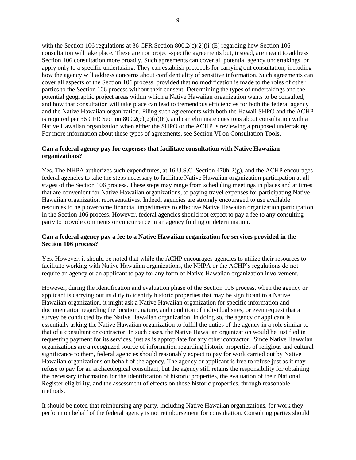with the Section 106 regulations at 36 CFR Section  $800.2(c)(2)(ii)(E)$  regarding how Section 106 consultation will take place. These are not project-specific agreements but, instead, are meant to address Section 106 consultation more broadly. Such agreements can cover all potential agency undertakings, or apply only to a specific undertaking. They can establish protocols for carrying out consultation, including how the agency will address concerns about confidentiality of sensitive information. Such agreements can cover all aspects of the Section 106 process, provided that no modification is made to the roles of other parties to the Section 106 process without their consent. Determining the types of undertakings and the potential geographic project areas within which a Native Hawaiian organization wants to be consulted, and how that consultation will take place can lead to tremendous efficiencies for both the federal agency and the Native Hawaiian organization. Filing such agreements with both the Hawaii SHPO and the ACHP is required per 36 CFR Section  $800.2(c)(2)(ii)(E)$ , and can eliminate questions about consultation with a Native Hawaiian organization when either the SHPO or the ACHP is reviewing a proposed undertaking. For more information about these types of agreements, see Section VI on Consultation Tools.

# **Can a federal agency pay for expenses that facilitate consultation with Native Hawaiian organizations?**

Yes. The NHPA authorizes such expenditures, at 16 U.S.C. Section 470h-2(g), and the ACHP encourages federal agencies to take the steps necessary to facilitate Native Hawaiian organization participation at all stages of the Section 106 process. These steps may range from scheduling meetings in places and at times that are convenient for Native Hawaiian organizations, to paying travel expenses for participating Native Hawaiian organization representatives. Indeed, agencies are strongly encouraged to use available resources to help overcome financial impediments to effective Native Hawaiian organization participation in the Section 106 process. However, federal agencies should not expect to pay a fee to any consulting party to provide comments or concurrence in an agency finding or determination.

# **Can a federal agency pay a fee to a Native Hawaiian organization for services provided in the Section 106 process?**

Yes. However, it should be noted that while the ACHP encourages agencies to utilize their resources to facilitate working with Native Hawaiian organizations, the NHPA or the ACHP's regulations do not require an agency or an applicant to pay for any form of Native Hawaiian organization involvement.

However, during the identification and evaluation phase of the Section 106 process, when the agency or applicant is carrying out its duty to identify historic properties that may be significant to a Native Hawaiian organization, it might ask a Native Hawaiian organization for specific information and documentation regarding the location, nature, and condition of individual sites, or even request that a survey be conducted by the Native Hawaiian organization. In doing so, the agency or applicant is essentially asking the Native Hawaiian organization to fulfill the duties of the agency in a role similar to that of a consultant or contractor. In such cases, the Native Hawaiian organization would be justified in requesting payment for its services, just as is appropriate for any other contractor. Since Native Hawaiian organizations are a recognized source of information regarding historic properties of religious and cultural significance to them, federal agencies should reasonably expect to pay for work carried out by Native Hawaiian organizations on behalf of the agency. The agency or applicant is free to refuse just as it may refuse to pay for an archaeological consultant, but the agency still retains the responsibility for obtaining the necessary information for the identification of historic properties, the evaluation of their National Register eligibility, and the assessment of effects on those historic properties, through reasonable methods.

It should be noted that reimbursing any party, including Native Hawaiian organizations, for work they perform on behalf of the federal agency is not reimbursement for consultation. Consulting parties should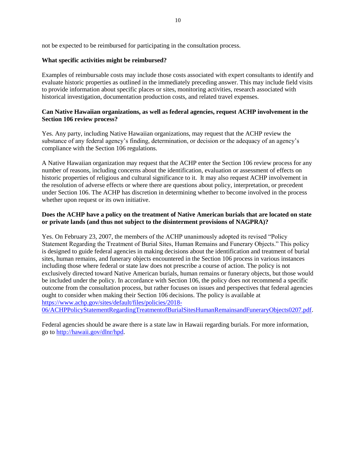not be expected to be reimbursed for participating in the consultation process.

# **What specific activities might be reimbursed?**

Examples of reimbursable costs may include those costs associated with expert consultants to identify and evaluate historic properties as outlined in the immediately preceding answer. This may include field visits to provide information about specific places or sites, monitoring activities, research associated with historical investigation, documentation production costs, and related travel expenses.

# **Can Native Hawaiian organizations, as well as federal agencies, request ACHP involvement in the Section 106 review process?**

Yes. Any party, including Native Hawaiian organizations, may request that the ACHP review the substance of any federal agency's finding, determination, or decision or the adequacy of an agency's compliance with the Section 106 regulations.

A Native Hawaiian organization may request that the ACHP enter the Section 106 review process for any number of reasons, including concerns about the identification, evaluation or assessment of effects on historic properties of religious and cultural significance to it. It may also request ACHP involvement in the resolution of adverse effects or where there are questions about policy, interpretation, or precedent under Section 106. The ACHP has discretion in determining whether to become involved in the process whether upon request or its own initiative.

# **Does the ACHP have a policy on the treatment of Native American burials that are located on state or private lands (and thus not subject to the disinterment provisions of NAGPRA)?**

Yes. On February 23, 2007, the members of the ACHP unanimously adopted its revised "Policy Statement Regarding the Treatment of Burial Sites, Human Remains and Funerary Objects." This policy is designed to guide federal agencies in making decisions about the identification and treatment of burial sites, human remains, and funerary objects encountered in the Section 106 process in various instances including those where federal or state law does not prescribe a course of action. The policy is not exclusively directed toward Native American burials, human remains or funerary objects, but those would be included under the policy. In accordance with Section 106, the policy does not recommend a specific outcome from the consultation process, but rather focuses on issues and perspectives that federal agencies ought to consider when making their Section 106 decisions. The policy is available at [https://www.achp.gov/sites/default/files/policies/2018-](https://www.achp.gov/sites/default/files/policies/2018-06/ACHPPolicyStatementRegardingTreatmentofBurialSitesHumanRemainsandFuneraryObjects0207.pdf)

[06/ACHPPolicyStatementRegardingTreatmentofBurialSitesHumanRemainsandFuneraryObjects0207.pdf.](https://www.achp.gov/sites/default/files/policies/2018-06/ACHPPolicyStatementRegardingTreatmentofBurialSitesHumanRemainsandFuneraryObjects0207.pdf)

Federal agencies should be aware there is a state law in Hawaii regarding burials. For more information, go to [http://hawaii.gov/dlnr/hpd.](http://hawaii.gov/dlnr/hpd)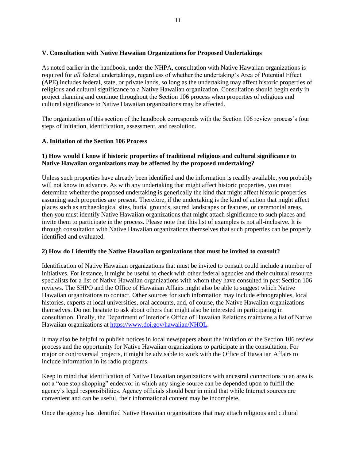# **V. Consultation with Native Hawaiian Organizations for Proposed Undertakings**

As noted earlier in the handbook, under the NHPA, consultation with Native Hawaiian organizations is required for *all* federal undertakings, regardless of whether the undertaking's Area of Potential Effect (APE) includes federal, state, or private lands, so long as the undertaking may affect historic properties of religious and cultural significance to a Native Hawaiian organization. Consultation should begin early in project planning and continue throughout the Section 106 process when properties of religious and cultural significance to Native Hawaiian organizations may be affected.

The organization of this section of the handbook corresponds with the Section 106 review process's four steps of initiation, identification, assessment, and resolution.

# **A. Initiation of the Section 106 Process**

# **1) How would I know if historic properties of traditional religious and cultural significance to Native Hawaiian organizations may be affected by the proposed undertaking?**

Unless such properties have already been identified and the information is readily available, you probably will not know in advance. As with any undertaking that might affect historic properties, you must determine whether the proposed undertaking is generically the kind that might affect historic properties assuming such properties are present. Therefore, if the undertaking is the kind of action that might affect places such as archaeological sites, burial grounds, sacred landscapes or features, or ceremonial areas, then you must identify Native Hawaiian organizations that might attach significance to such places and invite them to participate in the process. Please note that this list of examples is not all-inclusive. It is through consultation with Native Hawaiian organizations themselves that such properties can be properly identified and evaluated.

# **2) How do I identify the Native Hawaiian organizations that must be invited to consult?**

Identification of Native Hawaiian organizations that must be invited to consult could include a number of initiatives. For instance, it might be useful to check with other federal agencies and their cultural resource specialists for a list of Native Hawaiian organizations with whom they have consulted in past Section 106 reviews. The SHPO and the Office of Hawaiian Affairs might also be able to suggest which Native Hawaiian organizations to contact. Other sources for such information may include ethnographies, local histories, experts at local universities, oral accounts, and, of course, the Native Hawaiian organizations themselves. Do not hesitate to ask about others that might also be interested in participating in consultation. Finally, the Department of Interior's Office of Hawaiian Relations maintains a list of Native Hawaiian organizations at [https://www.doi.gov/hawaiian/NHOL.](https://www.doi.gov/hawaiian/NHOL)

It may also be helpful to publish notices in local newspapers about the initiation of the Section 106 review process and the opportunity for Native Hawaiian organizations to participate in the consultation. For major or controversial projects, it might be advisable to work with the Office of Hawaiian Affairs to include information in its radio programs.

Keep in mind that identification of Native Hawaiian organizations with ancestral connections to an area is not a "one stop shopping" endeavor in which any single source can be depended upon to fulfill the agency's legal responsibilities. Agency officials should bear in mind that while Internet sources are convenient and can be useful, their informational content may be incomplete.

Once the agency has identified Native Hawaiian organizations that may attach religious and cultural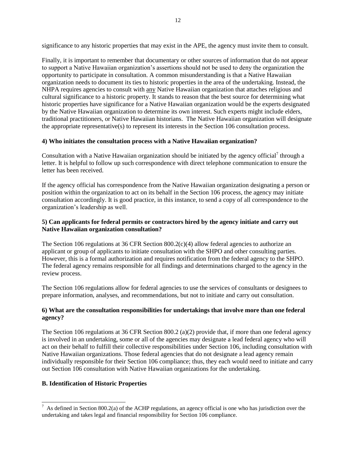significance to any historic properties that may exist in the APE, the agency must invite them to consult.

Finally, it is important to remember that documentary or other sources of information that do not appear to support a Native Hawaiian organization's assertions should not be used to deny the organization the opportunity to participate in consultation. A common misunderstanding is that a Native Hawaiian organization needs to document its ties to historic properties in the area of the undertaking. Instead, the NHPA requires agencies to consult with any Native Hawaiian organization that attaches religious and cultural significance to a historic property. It stands to reason that the best source for determining what historic properties have significance for a Native Hawaiian organization would be the experts designated by the Native Hawaiian organization to determine its own interest. Such experts might include elders, traditional practitioners, or Native Hawaiian historians. The Native Hawaiian organization will designate the appropriate representative(s) to represent its interests in the Section 106 consultation process.

# **4) Who initiates the consultation process with a Native Hawaiian organization?**

Consultation with a Native Hawaiian organization should be initiated by the agency official<sup>7</sup> through a letter. It is helpful to follow up such correspondence with direct telephone communication to ensure the letter has been received.

If the agency official has correspondence from the Native Hawaiian organization designating a person or position within the organization to act on its behalf in the Section 106 process, the agency may initiate consultation accordingly. It is good practice, in this instance, to send a copy of all correspondence to the organization's leadership as well.

# **5) Can applicants for federal permits or contractors hired by the agency initiate and carry out Native Hawaiian organization consultation?**

The Section 106 regulations at 36 CFR Section 800.2(c)(4) allow federal agencies to authorize an applicant or group of applicants to initiate consultation with the SHPO and other consulting parties. However, this is a formal authorization and requires notification from the federal agency to the SHPO. The federal agency remains responsible for all findings and determinations charged to the agency in the review process.

The Section 106 regulations allow for federal agencies to use the services of consultants or designees to prepare information, analyses, and recommendations, but not to initiate and carry out consultation.

# **6) What are the consultation responsibilities for undertakings that involve more than one federal agency?**

The Section 106 regulations at 36 CFR Section 800.2 (a)(2) provide that, if more than one federal agency is involved in an undertaking, some or all of the agencies may designate a lead federal agency who will act on their behalf to fulfill their collective responsibilities under Section 106, including consultation with Native Hawaiian organizations. Those federal agencies that do not designate a lead agency remain individually responsible for their Section 106 compliance; thus, they each would need to initiate and carry out Section 106 consultation with Native Hawaiian organizations for the undertaking.

# **B. Identification of Historic Properties**

 $\overline{a}$ <sup>7</sup> As defined in Section 800.2(a) of the ACHP regulations, an agency official is one who has jurisdiction over the undertaking and takes legal and financial responsibility for Section 106 compliance.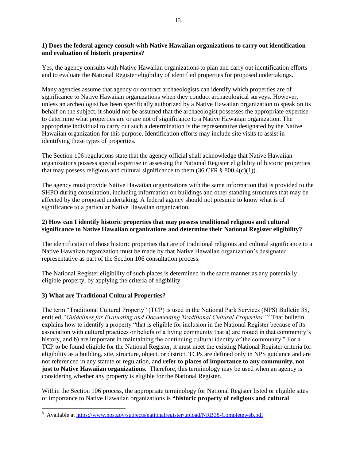# **1) Does the federal agency consult with Native Hawaiian organizations to carry out identification and evaluation of historic properties?**

Yes, the agency consults with Native Hawaiian organizations to plan and carry out identification efforts and to evaluate the National Register eligibility of identified properties for proposed undertakings.

Many agencies assume that agency or contract archaeologists can identify which properties are of significance to Native Hawaiian organizations when they conduct archaeological surveys. However, unless an archeologist has been specifically authorized by a Native Hawaiian organization to speak on its behalf on the subject, it should not be assumed that the archaeologist possesses the appropriate expertise to determine what properties are or are not of significance to a Native Hawaiian organization. The appropriate individual to carry out such a determination is the representative designated by the Native Hawaiian organization for this purpose. Identification efforts may include site visits to assist in identifying these types of properties.

The Section 106 regulations state that the agency official shall acknowledge that Native Hawaiian organizations possess special expertise in assessing the National Register eligibility of historic properties that may possess religious and cultural significance to them  $(36 \text{ CFR} \& 800.4(c)(1))$ .

The agency must provide Native Hawaiian organizations with the same information that is provided to the SHPO during consultation, including information on buildings and other standing structures that may be affected by the proposed undertaking. A federal agency should not presume to know what is of significance to a particular Native Hawaiian organization.

# **2) How can I identify historic properties that may possess traditional religious and cultural significance to Native Hawaiian organizations and determine their National Register eligibility?**

The identification of those historic properties that are of traditional religious and cultural significance to a Native Hawaiian organization must be made by that Native Hawaiian organization's designated representative as part of the Section 106 consultation process.

The National Register eligibility of such places is determined in the same manner as any potentially eligible property, by applying the criteria of eligibility.

# **3) What are Traditional Cultural Properties?**

l

The term "Traditional Cultural Property" (TCP) is used in the National Park Services (NPS) Bulletin 38, entitled *"Guidelines for Evaluating and Documenting Traditional Cultural Properties."*<sup>8</sup> That bulletin explains how to identify a property "that is eligible for inclusion in the National Register because of its association with cultural practices or beliefs of a living community that a) are rooted in that community's history, and b) are important in maintaining the continuing cultural identity of the community." For a TCP to be found eligible for the National Register, it must meet the existing National Register criteria for eligibility as a building, site, structure, object, or district. TCPs are defined only in NPS guidance and are not referenced in any statute or regulation, and **refer to places of importance to any community, not just to Native Hawaiian organizations.** Therefore, this terminology may be used when an agency is considering whether any property is eligible for the National Register.

Within the Section 106 process, the appropriate terminology for National Register listed or eligible sites of importance to Native Hawaiian organizations is **"historic property of religious and cultural** 

<sup>&</sup>lt;sup>8</sup> Available at<https://www.nps.gov/subjects/nationalregister/upload/NRB38-Completeweb.pdf>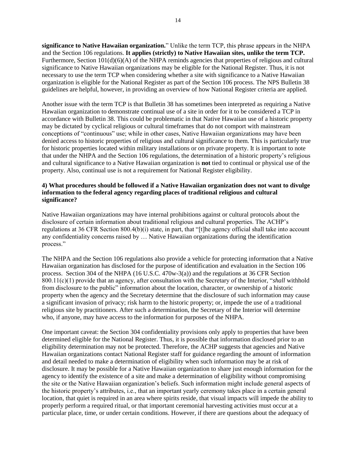**significance to Native Hawaiian organization.**" Unlike the term TCP, this phrase appears in the NHPA and the Section 106 regulations. **It applies (strictly) to Native Hawaiian sites, unlike the term TCP.** Furthermore, Section 101(d)(6)(A) of the NHPA reminds agencies that properties of religious and cultural significance to Native Hawaiian organizations may be eligible for the National Register. Thus, it is not necessary to use the term TCP when considering whether a site with significance to a Native Hawaiian organization is eligible for the National Register as part of the Section 106 process. The NPS Bulletin 38 guidelines are helpful, however, in providing an overview of how National Register criteria are applied.

Another issue with the term TCP is that Bulletin 38 has sometimes been interpreted as requiring a Native Hawaiian organization to demonstrate continual use of a site in order for it to be considered a TCP in accordance with Bulletin 38. This could be problematic in that Native Hawaiian use of a historic property may be dictated by cyclical religious or cultural timeframes that do not comport with mainstream conceptions of "continuous" use; while in other cases, Native Hawaiian organizations may have been denied access to historic properties of religious and cultural significance to them. This is particularly true for historic properties located within military installations or on private property. It is important to note that under the NHPA and the Section 106 regulations, the determination of a historic property's religious and cultural significance to a Native Hawaiian organization is **not** tied to continual or physical use of the property. Also, continual use is not a requirement for National Register eligibility.

# **4) What procedures should be followed if a Native Hawaiian organization does not want to divulge information to the federal agency regarding places of traditional religious and cultural significance?**

Native Hawaiian organizations may have internal prohibitions against or cultural protocols about the disclosure of certain information about traditional religious and cultural properties. The ACHP's regulations at 36 CFR Section 800.4(b)(i) state, in part, that "[t]he agency official shall take into account any confidentiality concerns raised by … Native Hawaiian organizations during the identification process."

The NHPA and the Section 106 regulations also provide a vehicle for protecting information that a Native Hawaiian organization has disclosed for the purpose of identification and evaluation in the Section 106 process. Section 304 of the NHPA (16 U.S.C. 470w-3(a)) and the regulations at 36 CFR Section 800.11(c)(1) provide that an agency, after consultation with the Secretary of the Interior, "*shall* withhold from disclosure to the public" information about the location, character, or ownership of a historic property when the agency and the Secretary determine that the disclosure of such information may cause a significant invasion of privacy; risk harm to the historic property; or, impede the use of a traditional religious site by practitioners. After such a determination, the Secretary of the Interior will determine who, if anyone, may have access to the information for purposes of the NHPA.

One important caveat: the Section 304 confidentiality provisions only apply to properties that have been determined eligible for the National Register. Thus, it is possible that information disclosed prior to an eligibility determination may not be protected. Therefore, the ACHP suggests that agencies and Native Hawaiian organizations contact National Register staff for guidance regarding the amount of information and detail needed to make a determination of eligibility when such information may be at risk of disclosure. It may be possible for a Native Hawaiian organization to share just enough information for the agency to identify the existence of a site and make a determination of eligibility without compromising the site or the Native Hawaiian organization's beliefs. Such information might include general aspects of the historic property's attributes, i.e., that an important yearly ceremony takes place in a certain general location, that quiet is required in an area where spirits reside, that visual impacts will impede the ability to properly perform a required ritual, or that important ceremonial harvesting activities must occur at a particular place, time, or under certain conditions. However, if there are questions about the adequacy of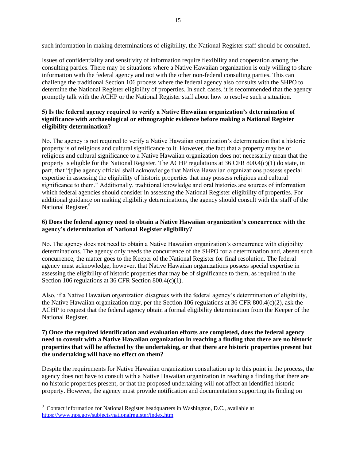such information in making determinations of eligibility, the National Register staff should be consulted.

Issues of confidentiality and sensitivity of information require flexibility and cooperation among the consulting parties. There may be situations where a Native Hawaiian organization is only willing to share information with the federal agency and not with the other non-federal consulting parties. This can challenge the traditional Section 106 process where the federal agency also consults with the SHPO to determine the National Register eligibility of properties. In such cases, it is recommended that the agency promptly talk with the ACHP or the National Register staff about how to resolve such a situation.

# **5) Is the federal agency required to verify a Native Hawaiian organization's determination of significance with archaeological or ethnographic evidence before making a National Register eligibility determination?**

No. The agency is not required to verify a Native Hawaiian organization's determination that a historic property is of religious and cultural significance to it. However, the fact that a property may be of religious and cultural significance to a Native Hawaiian organization does not necessarily mean that the property is eligible for the National Register. The ACHP regulations at 36 CFR 800.4(c)(1) do state, in part, that "[t]he agency official shall acknowledge that Native Hawaiian organizations possess special expertise in assessing the eligibility of historic properties that may possess religious and cultural significance to them." Additionally, traditional knowledge and oral histories are sources of information which federal agencies should consider in assessing the National Register eligibility of properties. For additional guidance on making eligibility determinations, the agency should consult with the staff of the National Register.<sup>9</sup>

# **6) Does the federal agency need to obtain a Native Hawaiian organization's concurrence with the agency's determination of National Register eligibility?**

No. The agency does not need to obtain a Native Hawaiian organization's concurrence with eligibility determinations. The agency only needs the concurrence of the SHPO for a determination and, absent such concurrence, the matter goes to the Keeper of the National Register for final resolution. The federal agency must acknowledge, however, that Native Hawaiian organizations possess special expertise in assessing the eligibility of historic properties that may be of significance to them, as required in the Section 106 regulations at 36 CFR Section 800.4(c)(1).

Also, if a Native Hawaiian organization disagrees with the federal agency's determination of eligibility, the Native Hawaiian organization may, per the Section 106 regulations at 36 CFR 800.4(c)(2), ask the ACHP to request that the federal agency obtain a formal eligibility determination from the Keeper of the National Register.

# **7) Once the required identification and evaluation efforts are completed, does the federal agency need to consult with a Native Hawaiian organization in reaching a finding that there are no historic properties that will be affected by the undertaking, or that there are historic properties present but the undertaking will have no effect on them?**

Despite the requirements for Native Hawaiian organization consultation up to this point in the process, the agency does not have to consult with a Native Hawaiian organization in reaching a finding that there are no historic properties present, or that the proposed undertaking will not affect an identified historic property. However, the agency must provide notification and documentation supporting its finding on

 $\overline{a}$  $9$  Contact information for National Register headquarters in Washington, D.C., available at <https://www.nps.gov/subjects/nationalregister/index.htm>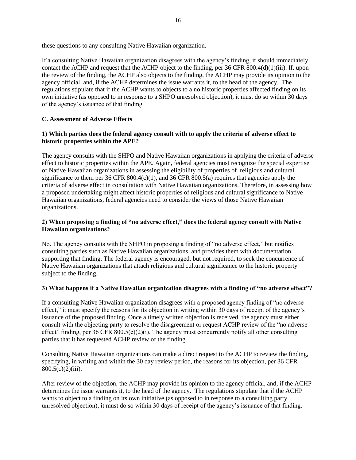these questions to any consulting Native Hawaiian organization.

If a consulting Native Hawaiian organization disagrees with the agency's finding, it should immediately contact the ACHP and request that the ACHP object to the finding, per 36 CFR 800.4(d)(1)(iii). If, upon the review of the finding, the ACHP also objects to the finding, the ACHP may provide its opinion to the agency official, and, if the ACHP determines the issue warrants it, to the head of the agency. The regulations stipulate that if the ACHP wants to objects to a no historic properties affected finding on its own initiative (as opposed to in response to a SHPO unresolved objection), it must do so within 30 days of the agency's issuance of that finding.

# **C. Assessment of Adverse Effects**

# **1) Which parties does the federal agency consult with to apply the criteria of adverse effect to historic properties within the APE?**

The agency consults with the SHPO and Native Hawaiian organizations in applying the criteria of adverse effect to historic properties within the APE. Again, federal agencies must recognize the special expertise of Native Hawaiian organizations in assessing the eligibility of properties of religious and cultural significance to them per 36 CFR  $800.4(c)(1)$ , and 36 CFR  $800.5(a)$  requires that agencies apply the criteria of adverse effect in consultation with Native Hawaiian organizations. Therefore, in assessing how a proposed undertaking might affect historic properties of religious and cultural significance to Native Hawaiian organizations, federal agencies need to consider the views of those Native Hawaiian organizations.

# **2) When proposing a finding of "no adverse effect," does the federal agency consult with Native Hawaiian organizations?**

No. The agency consults with the SHPO in proposing a finding of "no adverse effect," but notifies consulting parties such as Native Hawaiian organizations, and provides them with documentation supporting that finding. The federal agency is encouraged, but not required, to seek the concurrence of Native Hawaiian organizations that attach religious and cultural significance to the historic property subject to the finding.

# **3) What happens if a Native Hawaiian organization disagrees with a finding of "no adverse effect"?**

If a consulting Native Hawaiian organization disagrees with a proposed agency finding of "no adverse effect," it must specify the reasons for its objection in writing within 30 days of receipt of the agency's issuance of the proposed finding. Once a timely written objection is received, the agency must either consult with the objecting party to resolve the disagreement or request ACHP review of the "no adverse effect" finding, per 36 CFR 800.5(c)(2)(i). The agency must concurrently notify all other consulting parties that it has requested ACHP review of the finding.

Consulting Native Hawaiian organizations can make a direct request to the ACHP to review the finding, specifying, in writing and within the 30 day review period, the reasons for its objection, per 36 CFR 800.5(c)(2)(iii).

After review of the objection, the ACHP may provide its opinion to the agency official, and, if the ACHP determines the issue warrants it, to the head of the agency. The regulations stipulate that if the ACHP wants to object to a finding on its own initiative (as opposed to in response to a consulting party unresolved objection), it must do so within 30 days of receipt of the agency's issuance of that finding.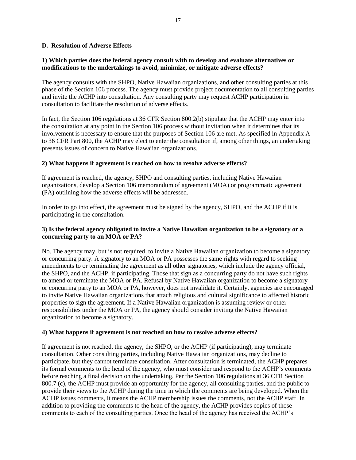#### **D. Resolution of Adverse Effects**

# **1) Which parties does the federal agency consult with to develop and evaluate alternatives or modifications to the undertakings to avoid, minimize, or mitigate adverse effects?**

The agency consults with the SHPO, Native Hawaiian organizations, and other consulting parties at this phase of the Section 106 process. The agency must provide project documentation to all consulting parties and invite the ACHP into consultation. Any consulting party may request ACHP participation in consultation to facilitate the resolution of adverse effects.

In fact, the Section 106 regulations at 36 CFR Section 800.2(b) stipulate that the ACHP may enter into the consultation at any point in the Section 106 process without invitation when it determines that its involvement is necessary to ensure that the purposes of Section 106 are met. As specified in Appendix A to 36 CFR Part 800, the ACHP may elect to enter the consultation if, among other things, an undertaking presents issues of concern to Native Hawaiian organizations.

#### **2) What happens if agreement is reached on how to resolve adverse effects?**

If agreement is reached, the agency, SHPO and consulting parties, including Native Hawaiian organizations, develop a Section 106 memorandum of agreement (MOA) or programmatic agreement (PA) outlining how the adverse effects will be addressed.

In order to go into effect, the agreement must be signed by the agency, SHPO, and the ACHP if it is participating in the consultation.

# **3) Is the federal agency obligated to invite a Native Hawaiian organization to be a signatory or a concurring party to an MOA or PA?**

No. The agency may, but is not required, to invite a Native Hawaiian organization to become a signatory or concurring party. A signatory to an MOA or PA possesses the same rights with regard to seeking amendments to or terminating the agreement as all other signatories, which include the agency official, the SHPO, and the ACHP, if participating. Those that sign as a concurring party do not have such rights to amend or terminate the MOA or PA. Refusal by Native Hawaiian organization to become a signatory or concurring party to an MOA or PA, however, does not invalidate it. Certainly, agencies are encouraged to invite Native Hawaiian organizations that attach religious and cultural significance to affected historic properties to sign the agreement. If a Native Hawaiian organization is assuming review or other responsibilities under the MOA or PA, the agency should consider inviting the Native Hawaiian organization to become a signatory.

#### **4) What happens if agreement is not reached on how to resolve adverse effects?**

If agreement is not reached, the agency, the SHPO, or the ACHP (if participating), may terminate consultation. Other consulting parties, including Native Hawaiian organizations, may decline to participate, but they cannot terminate consultation. After consultation is terminated, the ACHP prepares its formal comments to the head of the agency, who must consider and respond to the ACHP's comments before reaching a final decision on the undertaking. Per the Section 106 regulations at 36 CFR Section 800.7 (c), the ACHP must provide an opportunity for the agency, all consulting parties, and the public to provide their views to the ACHP during the time in which the comments are being developed. When the ACHP issues comments, it means the ACHP membership issues the comments, not the ACHP staff. In addition to providing the comments to the head of the agency, the ACHP provides copies of those comments to each of the consulting parties. Once the head of the agency has received the ACHP's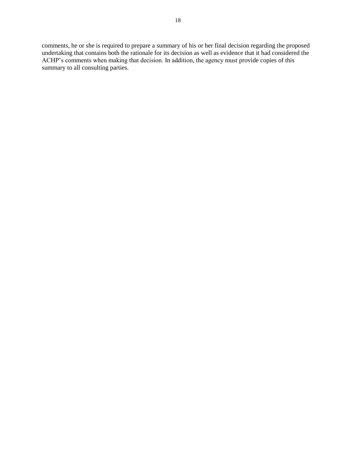comments, he or she is required to prepare a summary of his or her final decision regarding the proposed undertaking that contains both the rationale for its decision as well as evidence that it had considered the ACHP's comments when making that decision. In addition, the agency must provide copies of this summary to all consulting parties.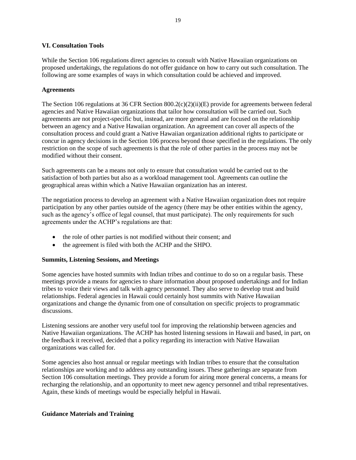# **VI. Consultation Tools**

While the Section 106 regulations direct agencies to consult with Native Hawaiian organizations on proposed undertakings, the regulations do not offer guidance on how to carry out such consultation. The following are some examples of ways in which consultation could be achieved and improved.

#### **Agreements**

The Section 106 regulations at 36 CFR Section 800.2(c)(2)(ii)(E) provide for agreements between federal agencies and Native Hawaiian organizations that tailor how consultation will be carried out. Such agreements are not project-specific but, instead, are more general and are focused on the relationship between an agency and a Native Hawaiian organization. An agreement can cover all aspects of the consultation process and could grant a Native Hawaiian organization additional rights to participate or concur in agency decisions in the Section 106 process beyond those specified in the regulations. The only restriction on the scope of such agreements is that the role of other parties in the process may not be modified without their consent.

Such agreements can be a means not only to ensure that consultation would be carried out to the satisfaction of both parties but also as a workload management tool. Agreements can outline the geographical areas within which a Native Hawaiian organization has an interest.

The negotiation process to develop an agreement with a Native Hawaiian organization does not require participation by any other parties outside of the agency (there may be other entities within the agency, such as the agency's office of legal counsel, that must participate). The only requirements for such agreements under the ACHP's regulations are that:

- the role of other parties is not modified without their consent; and
- the agreement is filed with both the ACHP and the SHPO.

# **Summits, Listening Sessions, and Meetings**

Some agencies have hosted summits with Indian tribes and continue to do so on a regular basis. These meetings provide a means for agencies to share information about proposed undertakings and for Indian tribes to voice their views and talk with agency personnel. They also serve to develop trust and build relationships. Federal agencies in Hawaii could certainly host summits with Native Hawaiian organizations and change the dynamic from one of consultation on specific projects to programmatic discussions.

Listening sessions are another very useful tool for improving the relationship between agencies and Native Hawaiian organizations. The ACHP has hosted listening sessions in Hawaii and based, in part, on the feedback it received, decided that a policy regarding its interaction with Native Hawaiian organizations was called for.

Some agencies also host annual or regular meetings with Indian tribes to ensure that the consultation relationships are working and to address any outstanding issues. These gatherings are separate from Section 106 consultation meetings. They provide a forum for airing more general concerns, a means for recharging the relationship, and an opportunity to meet new agency personnel and tribal representatives. Again, these kinds of meetings would be especially helpful in Hawaii.

# **Guidance Materials and Training**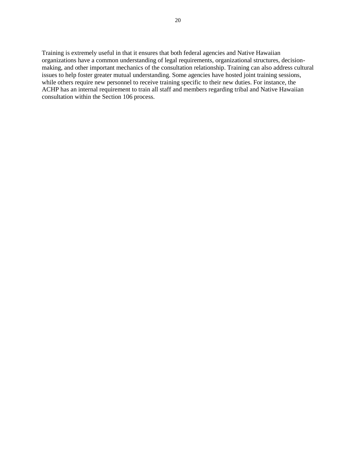Training is extremely useful in that it ensures that both federal agencies and Native Hawaiian organizations have a common understanding of legal requirements, organizational structures, decisionmaking, and other important mechanics of the consultation relationship. Training can also address cultural issues to help foster greater mutual understanding. Some agencies have hosted joint training sessions, while others require new personnel to receive training specific to their new duties. For instance, the ACHP has an internal requirement to train all staff and members regarding tribal and Native Hawaiian consultation within the Section 106 process.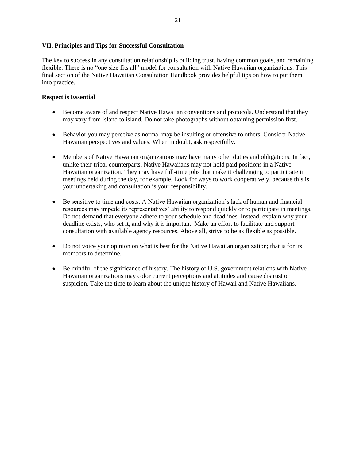#### **VII. Principles and Tips for Successful Consultation**

The key to success in any consultation relationship is building trust, having common goals, and remaining flexible. There is no "one size fits all" model for consultation with Native Hawaiian organizations. This final section of the Native Hawaiian Consultation Handbook provides helpful tips on how to put them into practice.

# **Respect is Essential**

- Become aware of and respect Native Hawaiian conventions and protocols. Understand that they may vary from island to island. Do not take photographs without obtaining permission first.
- Behavior you may perceive as normal may be insulting or offensive to others. Consider Native Hawaiian perspectives and values. When in doubt, ask respectfully.
- Members of Native Hawaiian organizations may have many other duties and obligations. In fact, unlike their tribal counterparts, Native Hawaiians may not hold paid positions in a Native Hawaiian organization. They may have full-time jobs that make it challenging to participate in meetings held during the day, for example. Look for ways to work cooperatively, because this is your undertaking and consultation is your responsibility.
- Be sensitive to time and costs. A Native Hawaiian organization's lack of human and financial resources may impede its representatives' ability to respond quickly or to participate in meetings. Do not demand that everyone adhere to your schedule and deadlines. Instead, explain why your deadline exists, who set it, and why it is important. Make an effort to facilitate and support consultation with available agency resources. Above all, strive to be as flexible as possible.
- Do not voice your opinion on what is best for the Native Hawaiian organization; that is for its members to determine.
- Be mindful of the significance of history. The history of U.S. government relations with Native Hawaiian organizations may color current perceptions and attitudes and cause distrust or suspicion. Take the time to learn about the unique history of Hawaii and Native Hawaiians.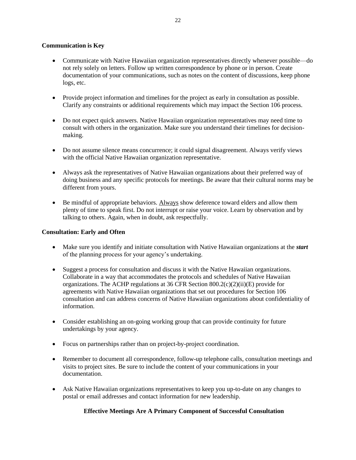# **Communication is Key**

- Communicate with Native Hawaiian organization representatives directly whenever possible—do not rely solely on letters. Follow up written correspondence by phone or in person. Create documentation of your communications, such as notes on the content of discussions, keep phone logs, etc.
- Provide project information and timelines for the project as early in consultation as possible. Clarify any constraints or additional requirements which may impact the Section 106 process.
- Do not expect quick answers. Native Hawaiian organization representatives may need time to consult with others in the organization. Make sure you understand their timelines for decisionmaking.
- Do not assume silence means concurrence; it could signal disagreement. Always verify views with the official Native Hawaiian organization representative.
- Always ask the representatives of Native Hawaiian organizations about their preferred way of doing business and any specific protocols for meetings. Be aware that their cultural norms may be different from yours.
- Be mindful of appropriate behaviors. Always show deference toward elders and allow them plenty of time to speak first. Do not interrupt or raise your voice. Learn by observation and by talking to others. Again, when in doubt, ask respectfully.

# **Consultation: Early and Often**

- Make sure you identify and initiate consultation with Native Hawaiian organizations at the *start* of the planning process for your agency's undertaking.
- Suggest a process for consultation and discuss it with the Native Hawaiian organizations. Collaborate in a way that accommodates the protocols and schedules of Native Hawaiian organizations. The ACHP regulations at 36 CFR Section 800.2(c)(2)(ii)(E) provide for agreements with Native Hawaiian organizations that set out procedures for Section 106 consultation and can address concerns of Native Hawaiian organizations about confidentiality of information.
- Consider establishing an on-going working group that can provide continuity for future undertakings by your agency.
- Focus on partnerships rather than on project-by-project coordination.
- Remember to document all correspondence, follow-up telephone calls, consultation meetings and visits to project sites. Be sure to include the content of your communications in your documentation.
- Ask Native Hawaiian organizations representatives to keep you up-to-date on any changes to postal or email addresses and contact information for new leadership.

# **Effective Meetings Are A Primary Component of Successful Consultation**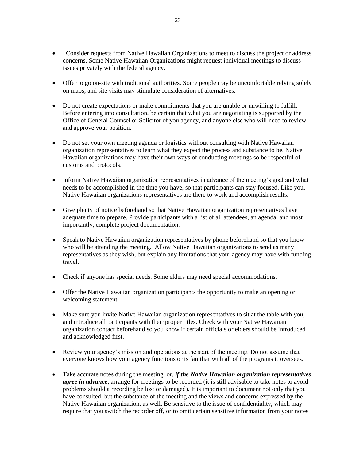- Consider requests from Native Hawaiian Organizations to meet to discuss the project or address concerns. Some Native Hawaiian Organizations might request individual meetings to discuss issues privately with the federal agency.
- Offer to go on-site with traditional authorities. Some people may be uncomfortable relying solely on maps, and site visits may stimulate consideration of alternatives.
- Do not create expectations or make commitments that you are unable or unwilling to fulfill. Before entering into consultation, be certain that what you are negotiating is supported by the Office of General Counsel or Solicitor of you agency, and anyone else who will need to review and approve your position.
- Do not set your own meeting agenda or logistics without consulting with Native Hawaiian organization representatives to learn what they expect the process and substance to be. Native Hawaiian organizations may have their own ways of conducting meetings so be respectful of customs and protocols.
- Inform Native Hawaiian organization representatives in advance of the meeting's goal and what needs to be accomplished in the time you have, so that participants can stay focused. Like you, Native Hawaiian organizations representatives are there to work and accomplish results.
- Give plenty of notice beforehand so that Native Hawaiian organization representatives have adequate time to prepare. Provide participants with a list of all attendees, an agenda, and most importantly, complete project documentation.
- Speak to Native Hawaiian organization representatives by phone beforehand so that you know who will be attending the meeting. Allow Native Hawaiian organizations to send as many representatives as they wish, but explain any limitations that your agency may have with funding travel.
- Check if anyone has special needs. Some elders may need special accommodations.
- Offer the Native Hawaiian organization participants the opportunity to make an opening or welcoming statement.
- Make sure you invite Native Hawaiian organization representatives to sit at the table with you, and introduce all participants with their proper titles. Check with your Native Hawaiian organization contact beforehand so you know if certain officials or elders should be introduced and acknowledged first.
- Review your agency's mission and operations at the start of the meeting. Do not assume that everyone knows how your agency functions or is familiar with all of the programs it oversees.
- Take accurate notes during the meeting, or, *if the Native Hawaiian organization representatives agree in advance*, arrange for meetings to be recorded (it is still advisable to take notes to avoid problems should a recording be lost or damaged). It is important to document not only that you have consulted, but the substance of the meeting and the views and concerns expressed by the Native Hawaiian organization, as well. Be sensitive to the issue of confidentiality, which may require that you switch the recorder off, or to omit certain sensitive information from your notes